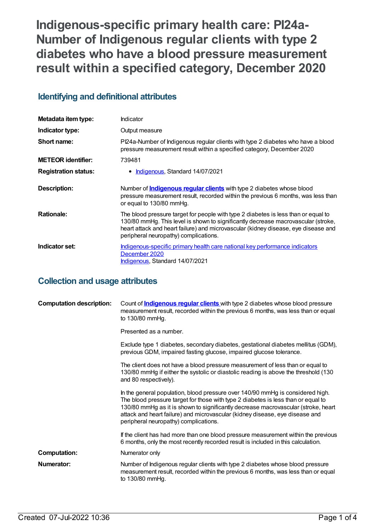**Indigenous-specific primary health care: PI24a-Number of Indigenous regular clients with type 2 diabetes who have a blood pressure measurement result within a specified category, December 2020**

## **Identifying and definitional attributes**

| Metadata item type:         | Indicator                                                                                                                                                                                                                                                                                              |
|-----------------------------|--------------------------------------------------------------------------------------------------------------------------------------------------------------------------------------------------------------------------------------------------------------------------------------------------------|
| Indicator type:             | Output measure                                                                                                                                                                                                                                                                                         |
| Short name:                 | Pl24a-Number of Indigenous regular clients with type 2 diabetes who have a blood<br>pressure measurement result within a specified category, December 2020                                                                                                                                             |
| <b>METEOR identifier:</b>   | 739481                                                                                                                                                                                                                                                                                                 |
| <b>Registration status:</b> | • Indigenous, Standard 14/07/2021                                                                                                                                                                                                                                                                      |
| <b>Description:</b>         | Number of <b>Indigenous regular clients</b> with type 2 diabetes whose blood<br>pressure measurement result, recorded within the previous 6 months, was less than<br>or equal to 130/80 mmHq.                                                                                                          |
| <b>Rationale:</b>           | The blood pressure target for people with type 2 diabetes is less than or equal to<br>130/80 mmHg. This level is shown to significantly decrease macrovascular (stroke,<br>heart attack and heart failure) and microvascular (kidney disease, eye disease and<br>peripheral neuropathy) complications. |
| Indicator set:              | Indigenous-specific primary health care national key performance indicators<br>December 2020<br>Indigenous, Standard 14/07/2021                                                                                                                                                                        |

## **Collection and usage attributes**

| <b>Computation description:</b> | Count of <b>Indigenous regular clients</b> with type 2 diabetes whose blood pressure<br>measurement result, recorded within the previous 6 months, was less than or equal<br>to 130/80 mmHg.                                                                                                                                                                                      |
|---------------------------------|-----------------------------------------------------------------------------------------------------------------------------------------------------------------------------------------------------------------------------------------------------------------------------------------------------------------------------------------------------------------------------------|
|                                 | Presented as a number.                                                                                                                                                                                                                                                                                                                                                            |
|                                 | Exclude type 1 diabetes, secondary diabetes, gestational diabetes mellitus (GDM),<br>previous GDM, impaired fasting glucose, impaired glucose tolerance.                                                                                                                                                                                                                          |
|                                 | The client does not have a blood pressure measurement of less than or equal to<br>130/80 mmHg if either the systolic or diastolic reading is above the threshold (130<br>and 80 respectively).                                                                                                                                                                                    |
|                                 | In the general population, blood pressure over 140/90 mmHg is considered high.<br>The blood pressure target for those with type 2 diabetes is less than or equal to<br>130/80 mmHg as it is shown to significantly decrease macrovascular (stroke, heart<br>attack and heart failure) and microvascular (kidney disease, eye disease and<br>peripheral neuropathy) complications. |
|                                 | If the client has had more than one blood pressure measurement within the previous<br>6 months, only the most recently recorded result is included in this calculation.                                                                                                                                                                                                           |
| <b>Computation:</b>             | Numerator only                                                                                                                                                                                                                                                                                                                                                                    |
| Numerator:                      | Number of Indigenous regular clients with type 2 diabetes whose blood pressure<br>measurement result, recorded within the previous 6 months, was less than or equal<br>to 130/80 mmHg.                                                                                                                                                                                            |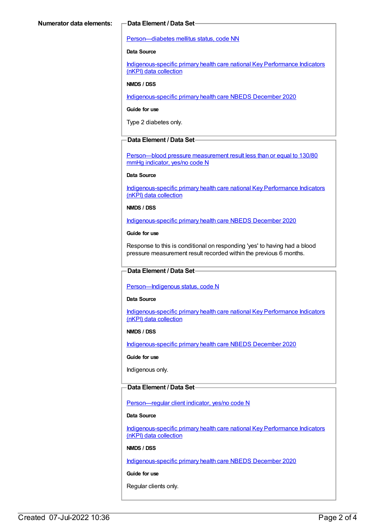#### [Person—diabetes](https://meteor.aihw.gov.au/content/270194) mellitus status, code NN

### **Data Source**

[Indigenous-specific](https://meteor.aihw.gov.au/content/737914) primary health care national Key Performance Indicators (nKPI) data collection

#### **NMDS / DSS**

[Indigenous-specific](https://meteor.aihw.gov.au/content/738532) primary health care NBEDS December 2020

#### **Guide for use**

Type 2 diabetes only.

### **Data Element / Data Set**

[Person—blood](https://meteor.aihw.gov.au/content/443234) pressure measurement result less than or equal to 130/80 mmHg indicator, yes/no code N

#### **Data Source**

[Indigenous-specific](https://meteor.aihw.gov.au/content/737914) primary health care national Key Performance Indicators (nKPI) data collection

#### **NMDS / DSS**

[Indigenous-specific](https://meteor.aihw.gov.au/content/738532) primary health care NBEDS December 2020

#### **Guide for use**

Response to this is conditional on responding 'yes' to having had a blood pressure measurement result recorded within the previous 6 months.

#### **Data Element / Data Set**

[Person—Indigenous](https://meteor.aihw.gov.au/content/602543) status, code N

#### **Data Source**

[Indigenous-specific](https://meteor.aihw.gov.au/content/737914) primary health care national Key Performance Indicators (nKPI) data collection

#### **NMDS / DSS**

[Indigenous-specific](https://meteor.aihw.gov.au/content/738532) primary health care NBEDS December 2020

#### **Guide for use**

Indigenous only.

#### **Data Element / Data Set**

Person-regular client indicator, yes/no code N

#### **Data Source**

[Indigenous-specific](https://meteor.aihw.gov.au/content/737914) primary health care national Key Performance Indicators (nKPI) data collection

#### **NMDS / DSS**

[Indigenous-specific](https://meteor.aihw.gov.au/content/738532) primary health care NBEDS December 2020

### **Guide for use**

Regular clients only.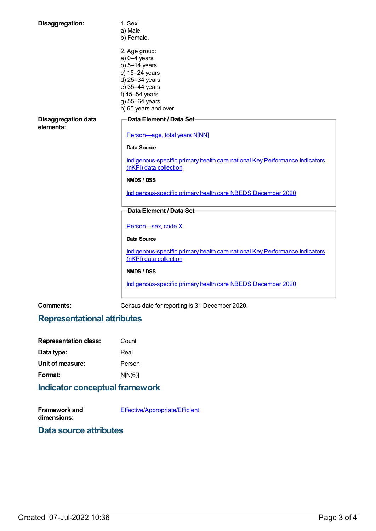| Disaggregation:                         | 1. Sex:                                                                                               |
|-----------------------------------------|-------------------------------------------------------------------------------------------------------|
|                                         | a) Male                                                                                               |
|                                         | b) Female.                                                                                            |
|                                         | 2. Age group:                                                                                         |
|                                         | $a) 0-4$ years                                                                                        |
|                                         | b) $5-14$ years                                                                                       |
|                                         | c) 15-24 years                                                                                        |
|                                         | d) 25-34 years                                                                                        |
|                                         | e) 35-44 years                                                                                        |
|                                         | f) $45-54$ years                                                                                      |
|                                         | g) 55-64 years                                                                                        |
|                                         | h) 65 years and over.                                                                                 |
|                                         |                                                                                                       |
| <b>Disaggregation data</b><br>elements: | Data Element / Data Set-                                                                              |
|                                         | Person-age, total years N[NN]                                                                         |
|                                         |                                                                                                       |
|                                         | <b>Data Source</b>                                                                                    |
|                                         | Indigenous-specific primary health care national Key Performance Indicators<br>(nKPI) data collection |
|                                         | <b>NMDS / DSS</b>                                                                                     |
|                                         | Indigenous-specific primary health care NBEDS December 2020                                           |
|                                         | Data Element / Data Set-                                                                              |
|                                         | Person-sex, code X                                                                                    |
|                                         | <b>Data Source</b>                                                                                    |
|                                         | Indigenous-specific primary health care national Key Performance Indicators                           |
|                                         | (nKPI) data collection                                                                                |
|                                         | <b>NMDS / DSS</b>                                                                                     |
|                                         | Indigenous-specific primary health care NBEDS December 2020                                           |
|                                         |                                                                                                       |

**Comments:** Census date for reporting is 31 December 2020.

# **Representational attributes**

| <b>Representation class:</b> | Count   |  |
|------------------------------|---------|--|
| Data type:                   | Real    |  |
| Unit of measure:             | Person  |  |
| Format:                      | N[N(6)] |  |
|                              |         |  |

# **Indicator conceptual framework**

| Framework and | <b>Effective/Appropriate/Efficient</b> |
|---------------|----------------------------------------|
| dimensions:   |                                        |

**Data source attributes**